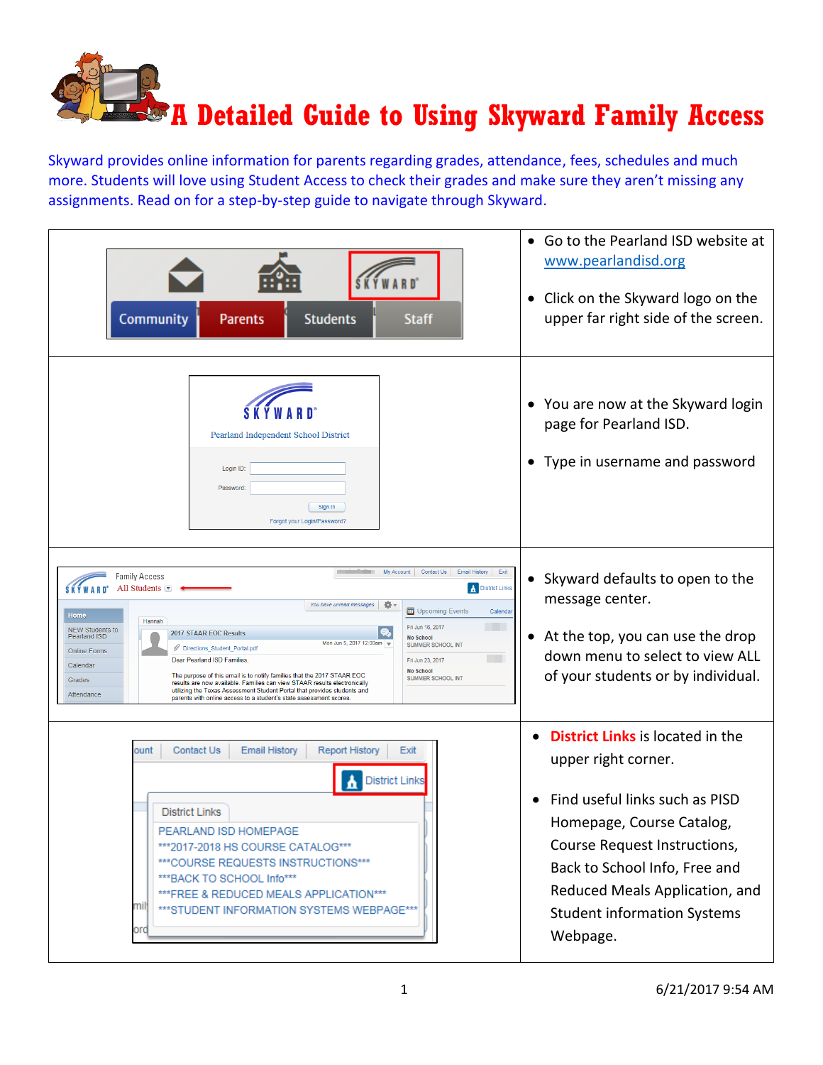

Skyward provides online information for parents regarding grades, attendance, fees, schedules and much more. Students will love using Student Access to check their grades and make sure they aren't missing any assignments. Read on for a step-by-step guide to navigate through Skyward.

| Community<br><b>Students</b><br><b>Parents</b><br><b>Staff</b>                                                                                                                                                                                                                                                                                                                                                                                                                                                                                                                                                                                                                                                                                                                                                                                                                                                                    | Go to the Pearland ISD website at<br>$\bullet$<br>www.pearlandisd.org<br>Click on the Skyward logo on the<br>$\bullet$<br>upper far right side of the screen.                                                                                                                                   |
|-----------------------------------------------------------------------------------------------------------------------------------------------------------------------------------------------------------------------------------------------------------------------------------------------------------------------------------------------------------------------------------------------------------------------------------------------------------------------------------------------------------------------------------------------------------------------------------------------------------------------------------------------------------------------------------------------------------------------------------------------------------------------------------------------------------------------------------------------------------------------------------------------------------------------------------|-------------------------------------------------------------------------------------------------------------------------------------------------------------------------------------------------------------------------------------------------------------------------------------------------|
| Pearland Independent School District<br>Login ID:<br>Password:<br>Sign In<br>Forgot your Login/Password?                                                                                                                                                                                                                                                                                                                                                                                                                                                                                                                                                                                                                                                                                                                                                                                                                          | • You are now at the Skyward login<br>page for Pearland ISD.<br>Type in username and password                                                                                                                                                                                                   |
| Exit<br>My Account<br>Contact Us<br><b>Email History</b><br><b>Family Access</b><br>All Students $\blacktriangleright$<br>District Links<br>You have unread messages<br>츴<br><b>国</b> Upcoming Events<br>Calenda<br>Home<br>Hannah<br>Fri Jun 16, 2017<br><b>NEW Students to</b><br>2017 STAAR EOC Results<br><b>Pearland ISD</b><br><b>No School</b><br>Mon Jun 5, 2017 12:00am v<br><b>SUMMER SCHOOL INT</b><br>Directions_Student_Portal.pdf<br><b>Online Forms</b><br><b>The Co</b><br>Dear Pearland ISD Families,<br>Fri Jun 23, 2017<br>Calendar<br><b>No School</b><br>The purpose of this email is to notify families that the 2017 STAAR EOC<br>SUMMER SCHOOL INT<br>Grades<br>results are now available. Families can view STAAR results electronically<br>utilizing the Texas Assessment Student Portal that provides students and<br>Attendance<br>parents with online access to a student's state assessment scores. | • Skyward defaults to open to the<br>message center.<br>At the top, you can use the drop<br>down menu to select to view ALL<br>of your students or by individual.                                                                                                                               |
| ount<br>Contact Us<br><b>Email History</b><br><b>Report History</b><br>Exit<br><b>District Links</b><br>District Links<br>PEARLAND ISD HOMEPAGE<br>***2017-2018 HS COURSE CATALOG***<br>*** COURSE REQUESTS INSTRUCTIONS***<br>*** BACK TO SCHOOL Info***<br>*** FREE & REDUCED MEALS APPLICATION***<br>milj<br>*** STUDENT INFORMATION SYSTEMS WEBPAGE***<br>ord                                                                                                                                                                                                                                                                                                                                                                                                                                                                                                                                                                 | <b>District Links</b> is located in the<br>$\bullet$<br>upper right corner.<br>Find useful links such as PISD<br>Homepage, Course Catalog,<br>Course Request Instructions,<br>Back to School Info, Free and<br>Reduced Meals Application, and<br><b>Student information Systems</b><br>Webpage. |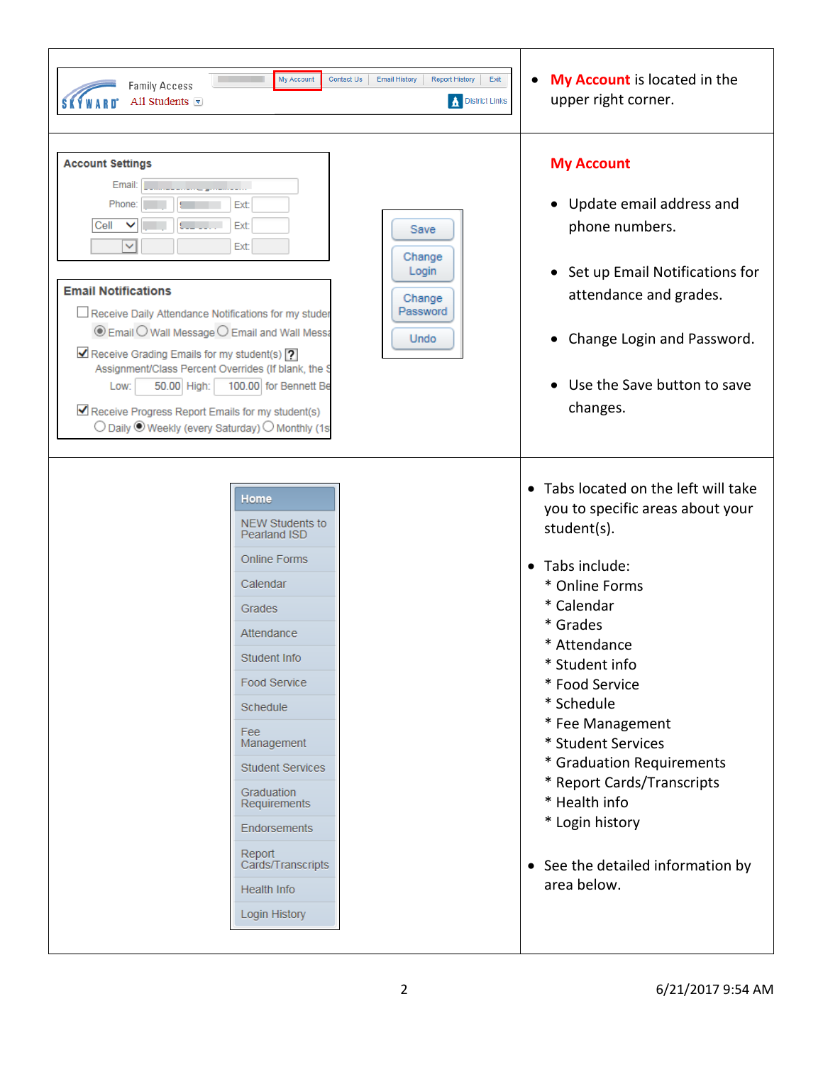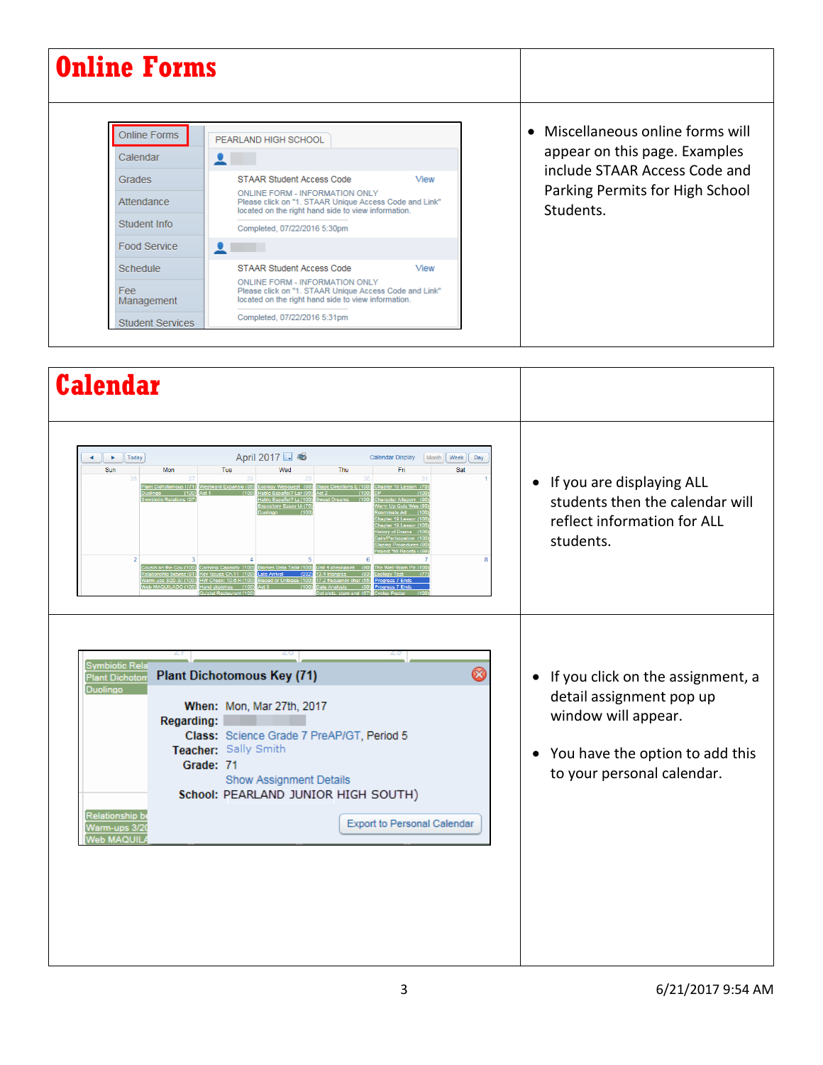| <b>Online Forms</b>                                       |                                                                                                                                                                                                                             |                                                                                                                                                     |
|-----------------------------------------------------------|-----------------------------------------------------------------------------------------------------------------------------------------------------------------------------------------------------------------------------|-----------------------------------------------------------------------------------------------------------------------------------------------------|
| <b>Online Forms</b><br>Calendar<br>Grades<br>Attendance   | PEARLAND HIGH SCHOOL<br>STAAR Student Access Code<br>View<br>ONLINE FORM - INFORMATION ONLY<br>Please click on "1. STAAR Unique Access Code and Link"<br>located on the right hand side to view information.                | • Miscellaneous online forms will<br>appear on this page. Examples<br>include STAAR Access Code and<br>Parking Permits for High School<br>Students. |
| Student Info<br>Food Service                              | Completed, 07/22/2016 5:30pm                                                                                                                                                                                                |                                                                                                                                                     |
| Schedule<br>Fee:<br>Management<br><b>Student Services</b> | <b>STAAR Student Access Code</b><br>View<br>ONLINE FORM - INFORMATION ONLY<br>Please click on "1. STAAR Unique Access Code and Link"<br>located on the right hand side to view information.<br>Completed, 07/22/2016 5:31pm |                                                                                                                                                     |

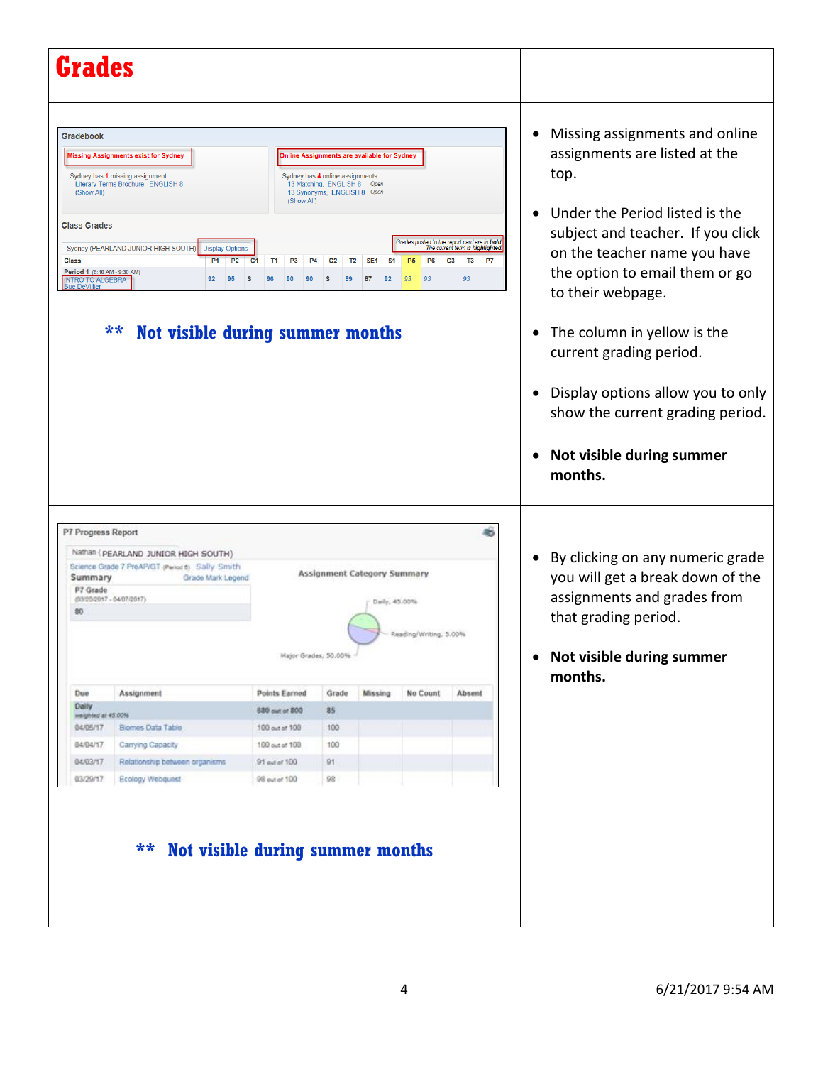| <b>Grades</b>                                                                                                                                            |                                                                                                                                                                                                                                        |                                                                                      |                                                                                                                                    |                                                                            |                                              |                                                                                                                              |                                                                                                                                                                                                                               |
|----------------------------------------------------------------------------------------------------------------------------------------------------------|----------------------------------------------------------------------------------------------------------------------------------------------------------------------------------------------------------------------------------------|--------------------------------------------------------------------------------------|------------------------------------------------------------------------------------------------------------------------------------|----------------------------------------------------------------------------|----------------------------------------------|------------------------------------------------------------------------------------------------------------------------------|-------------------------------------------------------------------------------------------------------------------------------------------------------------------------------------------------------------------------------|
|                                                                                                                                                          |                                                                                                                                                                                                                                        |                                                                                      |                                                                                                                                    |                                                                            |                                              |                                                                                                                              |                                                                                                                                                                                                                               |
| <b>Gradebook</b><br>(Show All)<br><b>Class Grades</b><br><b>Class</b><br>Period 1 (8:40 AM - 9:30 AM)<br><b>INTRO TO ALGEBRA</b><br><b>Sue DeVillier</b> | <b>Missing Assignments exist for Sydney</b><br>Sydney has 1 missing assignment:<br>Literary Terms Brochure, ENGLISH 8<br>Sydney (PEARLAND JUNIOR HIGH SOUTH)<br><b>Display Options</b><br>P <sub>2</sub><br>P <sub>1</sub><br>92<br>95 | (Show All)<br>C <sub>1</sub><br>T1<br>P <sub>3</sub>                                 | Sydney has 4 online assignments:<br>13 Matching, ENGLISH 8 Open<br>13 Synonyms, ENGLISH 8 Open<br>C <sub>2</sub><br>T <sub>2</sub> | Online Assignments are available for Sydney<br>SE <sub>1</sub><br>S1<br>92 | P <sub>5</sub><br>P <sub>6</sub><br>93<br>93 | Grades posted to the report card are in bold.<br>The current term is highlighted.<br>C <sub>3</sub><br><b>T3</b><br>P7<br>93 | Missing assignments and online<br>$\bullet$<br>assignments are listed at the<br>top.<br>Under the Period listed is the<br>subject and teacher. If you click<br>on the teacher name you have<br>the option to email them or go |
|                                                                                                                                                          | $***$<br>Not visible during summer months                                                                                                                                                                                              |                                                                                      |                                                                                                                                    |                                                                            |                                              |                                                                                                                              | to their webpage.<br>The column in yellow is the<br>current grading period.                                                                                                                                                   |
|                                                                                                                                                          |                                                                                                                                                                                                                                        |                                                                                      |                                                                                                                                    |                                                                            |                                              |                                                                                                                              | Display options allow you to only<br>show the current grading period.                                                                                                                                                         |
|                                                                                                                                                          |                                                                                                                                                                                                                                        |                                                                                      |                                                                                                                                    |                                                                            |                                              |                                                                                                                              | Not visible during summer<br>months.                                                                                                                                                                                          |
| P7 Progress Report<br>Summary<br>P7 Grade<br>80                                                                                                          | Nathan ( PEARLAND JUNIOR HIGH SOUTH)<br>Science Grade 7 PreAP/GT (Period 6) Sally Smith<br>Grade Mark Legend<br>$(03/20/2017 + 04/07/2017)$                                                                                            |                                                                                      |                                                                                                                                    | Assignment Category Summary<br>Daily, 45.00%                               | Reading/Writing, 5.00%                       |                                                                                                                              | • By clicking on any numeric grade<br>you will get a break down of the<br>assignments and grades from<br>that grading period.                                                                                                 |
|                                                                                                                                                          |                                                                                                                                                                                                                                        |                                                                                      | Major Grades, 50.00%                                                                                                               |                                                                            |                                              |                                                                                                                              | Not visible during summer<br>$\bullet$<br>months.                                                                                                                                                                             |
| Due<br>Daily<br>weighted at 45,00%<br>04/05/17<br>04/04/17<br>04/03/17                                                                                   | Assignment<br>Biomes Data Table<br>Carrying Capacity<br>Relationship between organisms                                                                                                                                                 | Points Earned<br>680 out of 800<br>100 out of 100<br>100 out of 100<br>91 out of 100 | Grade<br>85<br>100<br>100<br>91                                                                                                    | Missing                                                                    | No Count                                     | Absent                                                                                                                       |                                                                                                                                                                                                                               |
| 03/29/17                                                                                                                                                 | Ecology Webquest                                                                                                                                                                                                                       | 98 out of 100                                                                        | 98                                                                                                                                 |                                                                            |                                              |                                                                                                                              |                                                                                                                                                                                                                               |
|                                                                                                                                                          |                                                                                                                                                                                                                                        |                                                                                      |                                                                                                                                    |                                                                            |                                              |                                                                                                                              |                                                                                                                                                                                                                               |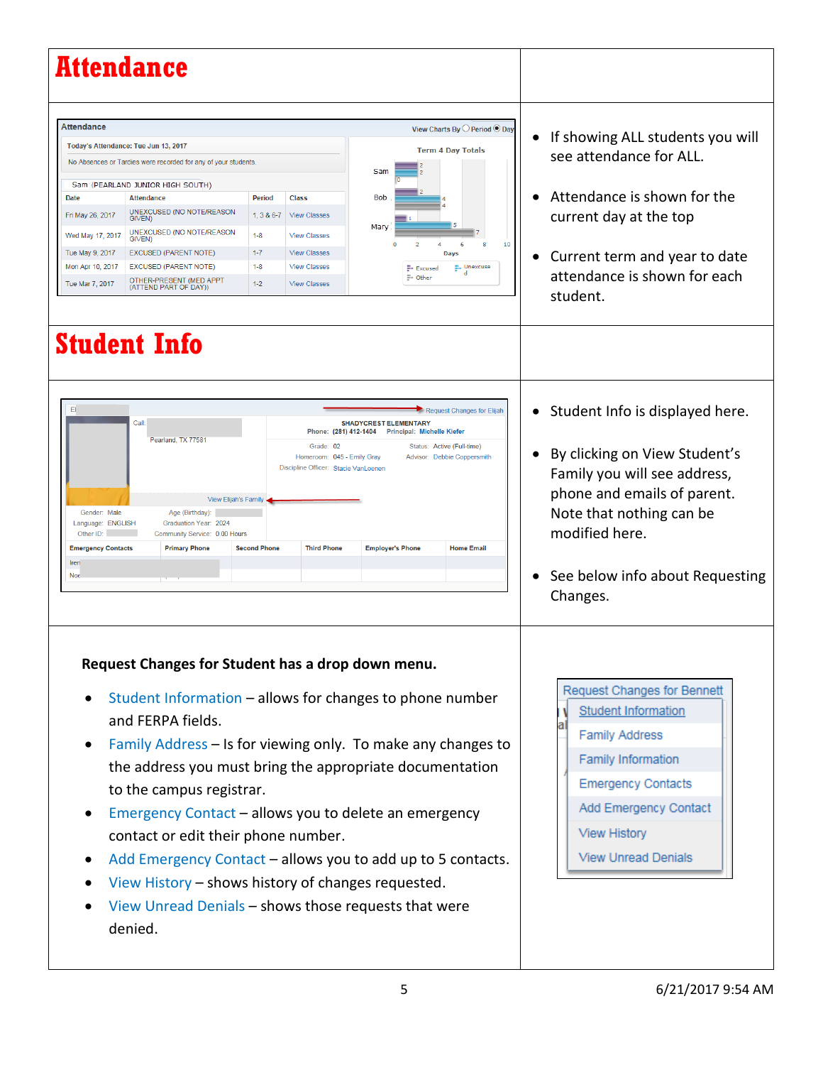|                                                                                                                                    | Attendance                                                                                                                                                                                                                                                                                                                                                                                                                                                                                                                                                                         |                                                                             |                                                                                                                                 |                                                         |                                                                                                               |                                                                                |                                                                                                                                                                                                                                |
|------------------------------------------------------------------------------------------------------------------------------------|------------------------------------------------------------------------------------------------------------------------------------------------------------------------------------------------------------------------------------------------------------------------------------------------------------------------------------------------------------------------------------------------------------------------------------------------------------------------------------------------------------------------------------------------------------------------------------|-----------------------------------------------------------------------------|---------------------------------------------------------------------------------------------------------------------------------|---------------------------------------------------------|---------------------------------------------------------------------------------------------------------------|--------------------------------------------------------------------------------|--------------------------------------------------------------------------------------------------------------------------------------------------------------------------------------------------------------------------------|
| <b>Attendance</b><br><b>Date</b><br>Fri May 26, 2017<br>Wed May 17, 2017<br>Tue May 9, 2017<br>Mon Apr 10, 2017<br>Tue Mar 7, 2017 | Today's Attendance: Tue Jun 13, 2017<br>No Absences or Tardies were recorded for any of your students.<br>Sam (PEARLAND JUNIOR HIGH SOUTH)<br><b>Attendance</b><br>UNEXCUSED (NO NOTE/REASON<br>GIVEN)<br>UNEXCUSED (NO NOTE/REASON<br>GIVEN)<br><b>EXCUSED (PARENT NOTE)</b><br><b>EXCUSED (PARENT NOTE)</b><br>OTHER-PRESENT (MED APPT<br>(ATTEND PART OF DAY))                                                                                                                                                                                                                  | <b>Period</b><br>$1, 3 & 6 - 7$<br>$1 - 8$<br>$1 - 7$<br>$1 - 8$<br>$1 - 2$ | <b>Class</b><br><b>View Classes</b><br><b>View Classes</b><br><b>View Classes</b><br><b>View Classes</b><br><b>View Classes</b> | Sam<br><b>Bob</b><br>Mary                               | <b>Term 4 Day Totals</b><br>2<br>Days<br>Excused<br>= Other                                                   | View Charts By O Period <sup>O</sup> Day<br>8<br>10<br>6<br><b>E.</b> Unexcuse | If showing ALL students you will<br>see attendance for ALL.<br>Attendance is shown for the<br>current day at the top<br>Current term and year to date<br>attendance is shown for each<br>student.                              |
| E1<br>Gender: Male<br>Language: ENGLISH<br>Other ID:<br><b>Emergency Contacts</b><br>Iren<br>Noe                                   | <b>Student Info</b><br>Call<br>Pearland, TX 77581<br>View Elijah's Family<br>Age (Birthday):<br>Graduation Year: 2024<br>Community Service: 0.00 Hours<br><b>Primary Phone</b>                                                                                                                                                                                                                                                                                                                                                                                                     | <b>Second Phone</b>                                                         | Grade: 02<br>Homeroom: 045 - Emily Gray<br>Discipline Officer: Stacie VanLoenen<br><b>Third Phone</b>                           | <b>SHADYCREST ELEMENTARY</b><br><b>Employer's Phone</b> | Phone: (281) 412-1404 Principal: Michelle Kiefer<br>Status: Active (Full-time)<br>Advisor: Debbie Coppersmith | Request Changes for Elijah<br><b>Home Email</b>                                | • Student Info is displayed here.<br>By clicking on View Student's<br>Family you will see address,<br>phone and emails of parent.<br>Note that nothing can be<br>modified here.<br>See below info about Requesting<br>Changes. |
| $\bullet$                                                                                                                          | Request Changes for Student has a drop down menu.<br>Student Information - allows for changes to phone number<br>and FERPA fields.<br>Family Address - Is for viewing only. To make any changes to<br>the address you must bring the appropriate documentation<br>to the campus registrar.<br>Emergency Contact - allows you to delete an emergency<br>contact or edit their phone number.<br>Add Emergency Contact - allows you to add up to 5 contacts.<br>View History – shows history of changes requested.<br>View Unread Denials - shows those requests that were<br>denied. |                                                                             |                                                                                                                                 |                                                         |                                                                                                               |                                                                                | Request Changes for Bennett<br><b>Student Information</b><br><b>Family Address</b><br>Family Information<br><b>Emergency Contacts</b><br>Add Emergency Contact<br><b>View History</b><br><b>View Unread Denials</b>            |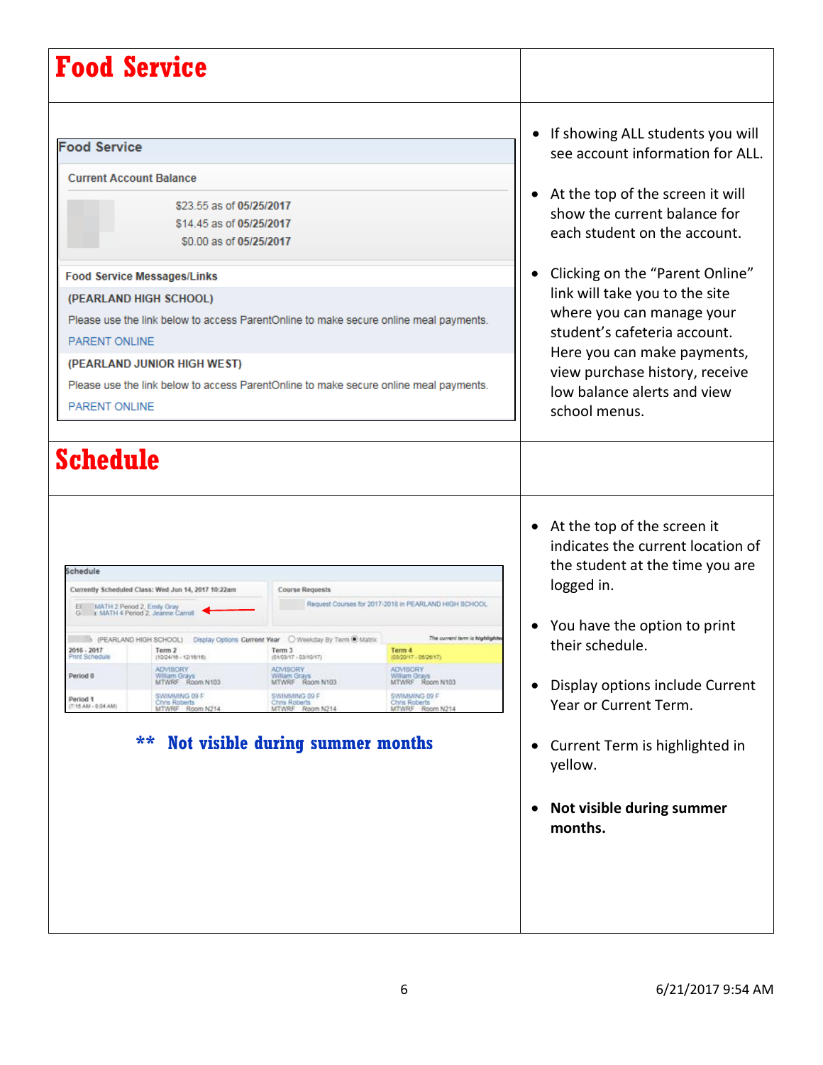| <b>Food Service</b>                                                                                                                                               |                                                                                                                                                                                                               |                                                                                                                                                                                                                                                                                 |                                                                                                                                                                                                                                          |                                                                                                                                                                                                                                                                                                                                                                                                                             |
|-------------------------------------------------------------------------------------------------------------------------------------------------------------------|---------------------------------------------------------------------------------------------------------------------------------------------------------------------------------------------------------------|---------------------------------------------------------------------------------------------------------------------------------------------------------------------------------------------------------------------------------------------------------------------------------|------------------------------------------------------------------------------------------------------------------------------------------------------------------------------------------------------------------------------------------|-----------------------------------------------------------------------------------------------------------------------------------------------------------------------------------------------------------------------------------------------------------------------------------------------------------------------------------------------------------------------------------------------------------------------------|
| <b>Food Service</b><br><b>Current Account Balance</b><br>PARENT ONLINE<br>PARENT ONLINE                                                                           | \$23.55 as of 05/25/2017<br>\$14.45 as of 05/25/2017<br>\$0.00 as of 05/25/2017<br><b>Food Service Messages/Links</b><br>(PEARLAND HIGH SCHOOL)<br>(PEARLAND JUNIOR HIGH WEST)                                | Please use the link below to access ParentOnline to make secure online meal payments.<br>Please use the link below to access ParentOnline to make secure online meal payments.                                                                                                  |                                                                                                                                                                                                                                          | If showing ALL students you will<br>see account information for ALL.<br>At the top of the screen it will<br>show the current balance for<br>each student on the account.<br>Clicking on the "Parent Online"<br>link will take you to the site<br>where you can manage your<br>student's cafeteria account.<br>Here you can make payments,<br>view purchase history, receive<br>low balance alerts and view<br>school menus. |
| Schedule                                                                                                                                                          |                                                                                                                                                                                                               |                                                                                                                                                                                                                                                                                 |                                                                                                                                                                                                                                          | • At the top of the screen it<br>indicates the current location of                                                                                                                                                                                                                                                                                                                                                          |
| Schedule<br>El MATH 2 Period 2, Emily Gray<br>G 1 MATH 4 Period 2, Jeanne Carroll<br>2016 - 2017<br>Print Schedule<br>Period 0<br>Period 1<br>(7:15 AM - 8:04 AM) | Currently Scheduled Class: Wed Jun 14, 2017 10:22am<br>Term 2<br>$(10/24/10 - 12/10/10)$<br><b>ADMISORY</b><br>William Grays<br>MTWRF Room N103<br>SWIMMING 09 F<br>Chris Roberts<br>MTWRF Room N214<br>$***$ | Course Requests<br>(PEARLAND HIGH SCHOOL) Display Options Current Year O Weekday By Term @ Matrix<br>Term 3<br>$(01/03/17 - 03/10/17)$<br>ADVISORY<br>William Grays<br>MTWRF Room N103<br>SWIMMING 09 F<br>Chris Roberts<br>MTWRF Room N214<br>Not visible during summer months | Request Courses for 2017-2018 in PEARLAND HIGH SCHOOL<br>The current term is highlights<br>Term 4<br>$(03/20/17 - 05/26/17)$<br><b>ADVISORY</b><br>William Grays<br>MTWRF Room N103<br>SWIMMING 09 F<br>Chris Roberts<br>MTWRF Room N214 | the student at the time you are<br>logged in.<br>You have the option to print<br>their schedule.<br>Display options include Current<br>Year or Current Term.<br>Current Term is highlighted in<br>yellow.<br>Not visible during summer<br>$\bullet$<br>months.                                                                                                                                                              |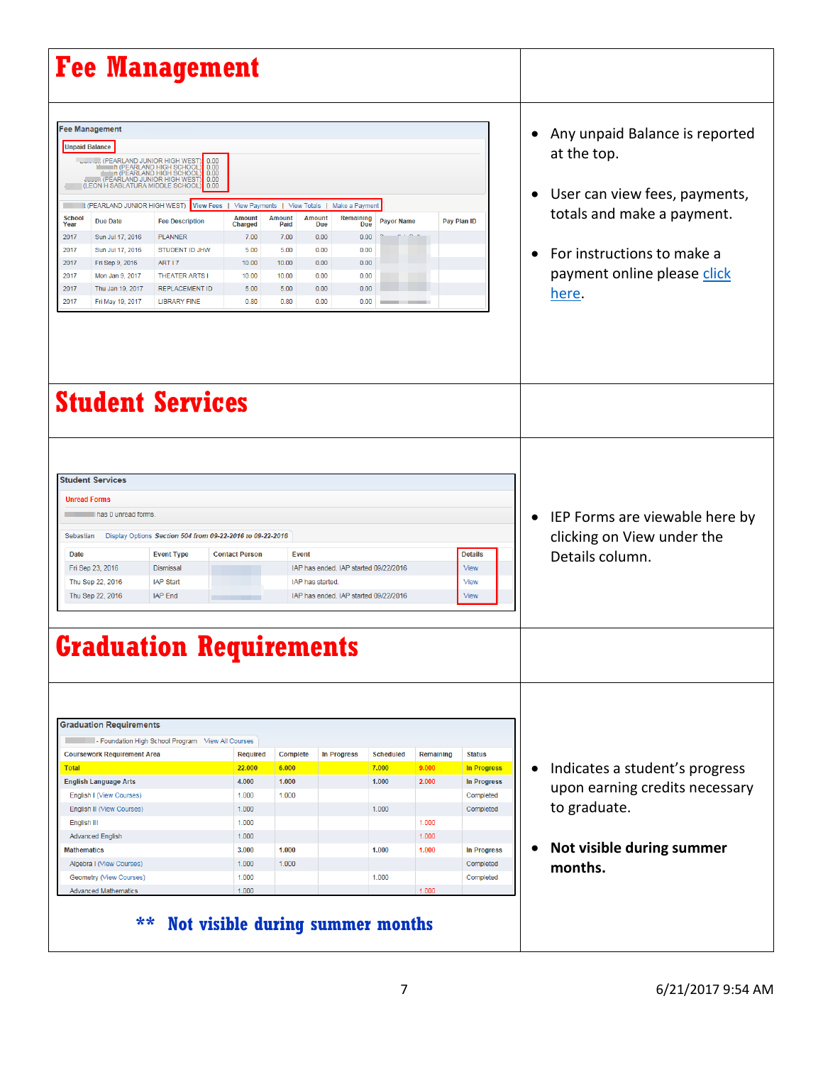| <b>Fee Management</b>                                                                                                                                                                                                                                                                                                                                                                                                                                                                                                               |                                                                                                                                                                                                       |                                                                                                            |                                                                                                           |                                                                                                                                  |                                                               |                                                                 |                                                                                                                       |           |                                                                                                                                                                                    |
|-------------------------------------------------------------------------------------------------------------------------------------------------------------------------------------------------------------------------------------------------------------------------------------------------------------------------------------------------------------------------------------------------------------------------------------------------------------------------------------------------------------------------------------|-------------------------------------------------------------------------------------------------------------------------------------------------------------------------------------------------------|------------------------------------------------------------------------------------------------------------|-----------------------------------------------------------------------------------------------------------|----------------------------------------------------------------------------------------------------------------------------------|---------------------------------------------------------------|-----------------------------------------------------------------|-----------------------------------------------------------------------------------------------------------------------|-----------|------------------------------------------------------------------------------------------------------------------------------------------------------------------------------------|
| <b>Fee Management</b><br><b>Unpaid Balance</b><br>CPEARLAND JUNIOR HIGH WEST (PEARLAND JUNIOR HIGH SCHOOL)<br>The IPEARLAND HIGH SCHOOL)<br>The IPEARLAND HIGH SCHOOL)<br>TTOM IPEARLAND JUNIOR HIGH WEST (PEARLAND JUNIOR HIGH WEST)<br>(LEON H SABLATURA MIDDLE SCHOOL<br><b>I: (PEARLAND JUNIOR HIGH WEST)</b><br><b>School</b><br><b>Due Date</b><br>Year<br>Sun Jul 17, 2016<br>2017<br>Sun Jul 17, 2016<br>2017<br>2017<br>Fri Sep 9, 2016<br>2017<br>Mon Jan 9, 2017<br>Thu Jan 19, 2017<br>2017<br>2017<br>Fri May 19, 2017 | 0.00<br>0.00<br>0.00<br>0.00<br>0.00<br>View Fees  <br><b>Fee Description</b><br><b>PLANNER</b><br>STUDENT ID JHW<br>ART I 7<br><b>THEATER ARTS I</b><br><b>REPLACEMENT ID</b><br><b>LIBRARY FINE</b> | View Payments  <br><b>Amount</b><br>Charged<br>7.00<br>5.00<br>10.00<br>10.00<br>5.00<br>0.80              | View Totals  <br><b>Amount</b><br><b>Amount</b><br>Paid<br>7.00<br>5.00<br>10.00<br>10.00<br>5.00<br>0.80 | Make a Payment<br>Remaining<br><b>Due</b><br>Due<br>0.00<br>0.00<br>0.00<br>0.00<br>0.00<br>0.00<br>0.00<br>0.00<br>0.00<br>0.00 | <b>Payor Name</b><br>0.00<br>0.00                             |                                                                 | Pay Plan ID                                                                                                           |           | Any unpaid Balance is reported<br>at the top.<br>User can view fees, payments,<br>totals and make a payment.<br>For instructions to make a<br>payment online please click<br>here. |
| <b>Student Services</b>                                                                                                                                                                                                                                                                                                                                                                                                                                                                                                             |                                                                                                                                                                                                       |                                                                                                            |                                                                                                           |                                                                                                                                  |                                                               |                                                                 |                                                                                                                       |           |                                                                                                                                                                                    |
| <b>Student Services</b><br><b>Unread Forms</b><br>has 0 unread forms.<br>Sebastian<br>Date<br>Fri Sep 23, 2016<br>Thu Sep 22, 2016<br>Thu Sep 22, 2016                                                                                                                                                                                                                                                                                                                                                                              | Display Options Section 504 from 09-22-2016 to 09-22-2016<br><b>Event Type</b><br>Dismissal<br><b>IAP Start</b><br><b>IAP End</b>                                                                     | <b>Contact Person</b>                                                                                      | <b>Event</b><br>IAP has started.                                                                          | IAP has ended. IAP started 09/22/2016<br>IAP has ended. IAP started 09/22/2016                                                   |                                                               |                                                                 | <b>Details</b><br>View<br>View<br><b>View</b>                                                                         |           | IEP Forms are viewable here by<br>clicking on View under the<br>Details column.                                                                                                    |
| <b>Graduation Requirements</b>                                                                                                                                                                                                                                                                                                                                                                                                                                                                                                      |                                                                                                                                                                                                       |                                                                                                            |                                                                                                           |                                                                                                                                  |                                                               |                                                                 |                                                                                                                       |           |                                                                                                                                                                                    |
| <b>Graduation Requirements</b><br><b>Coursework Requirement Area</b><br><b>Total</b><br><b>English Language Arts</b><br><b>English I (View Courses)</b><br><b>English II (View Courses)</b><br>English III<br><b>Advanced English</b><br><b>Mathematics</b><br>Algebra I (View Courses)<br>Geometry (View Courses)<br><b>Advanced Mathematics</b><br>$***$                                                                                                                                                                          | - Foundation High School Program View All Courses<br>Not visible during summer months                                                                                                                 | <b>Required</b><br>22.000<br>4.000<br>1.000<br>1.000<br>1.000<br>1.000<br>3.000<br>1.000<br>1.000<br>1.000 | <b>Complete</b><br>6.000<br>1.000<br>1.000<br>1.000<br>1.000                                              | <b>In Progress</b>                                                                                                               | <b>Scheduled</b><br>7.000<br>1.000<br>1.000<br>1.000<br>1.000 | Remaining<br>9.000<br>2.000<br>1.000<br>1.000<br>1.000<br>1.000 | <b>Status</b><br>In Progress<br><b>In Progress</b><br>Completed<br>Completed<br>In Progress<br>Completed<br>Completed | $\bullet$ | Indicates a student's progress<br>upon earning credits necessary<br>to graduate.<br>Not visible during summer<br>months.                                                           |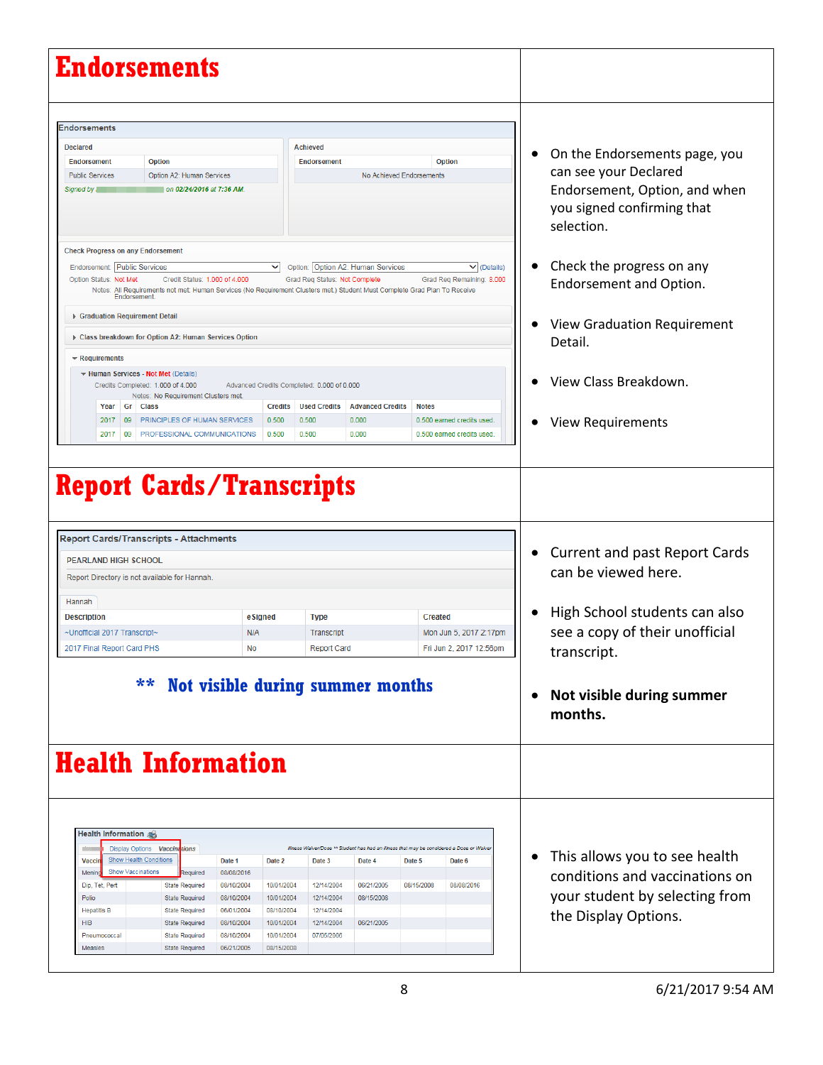| <b>Endorsements</b>                                                                                                                                                                                                                                                                                                                                                                                                                                               |                                                                              |                                                                                                                                  |                                                                                                                                          |                                                                                                                                     |
|-------------------------------------------------------------------------------------------------------------------------------------------------------------------------------------------------------------------------------------------------------------------------------------------------------------------------------------------------------------------------------------------------------------------------------------------------------------------|------------------------------------------------------------------------------|----------------------------------------------------------------------------------------------------------------------------------|------------------------------------------------------------------------------------------------------------------------------------------|-------------------------------------------------------------------------------------------------------------------------------------|
| <b>Declared</b><br>Option<br><b>Endorsement</b><br><b>Public Services</b><br>Option A2: Human Services<br>on 02/24/2016 at 7:36 AM.<br>Signed by                                                                                                                                                                                                                                                                                                                  |                                                                              | <b>Achieved</b><br><b>Endorsement</b>                                                                                            | <b>Option</b><br>No Achieved Endorsements                                                                                                | On the Endorsements page, you<br>can see your Declared<br>Endorsement, Option, and when<br>you signed confirming that<br>selection. |
| <b>Check Progress on any Endorsement</b>                                                                                                                                                                                                                                                                                                                                                                                                                          |                                                                              |                                                                                                                                  |                                                                                                                                          |                                                                                                                                     |
| Endorsement: Public Services<br>Option Status: Not Met<br>Credit Status: 1.000 of 4.000<br>Notes: All Requirements not met: Human Services (No Requirement Clusters met.) Student Must Complete Grad Plan To Receive<br>Endorsement.                                                                                                                                                                                                                              | ◡                                                                            | Option: Option A2: Human Services<br>Grad Req Status: Not Complete                                                               | $\vee$ (Details)<br>Grad Reg Remaining: 8.000                                                                                            | Check the progress on any<br>Endorsement and Option.                                                                                |
| ▶ Graduation Requirement Detail<br>Class breakdown for Option A2: Human Services Option                                                                                                                                                                                                                                                                                                                                                                           |                                                                              |                                                                                                                                  |                                                                                                                                          | <b>View Graduation Requirement</b><br>Detail.                                                                                       |
| $\blacktriangleright$ Requirements<br>Human Services - Not Met (Details)<br>Credits Completed: 1.000 of 4.000<br>Notes: No Requirement Clusters met.                                                                                                                                                                                                                                                                                                              | Advanced Credits Completed: 0.000 of 0.000                                   |                                                                                                                                  |                                                                                                                                          | View Class Breakdown.                                                                                                               |
| Year Gr Class<br>09   PRINCIPLES OF HUMAN SERVICES<br>2017<br>2017<br>09<br>PROFESSIONAL COMMUNICATIONS                                                                                                                                                                                                                                                                                                                                                           | <b>Credits</b><br>0.500<br>0.500                                             | <b>Used Credits</b><br><b>Advanced Credits</b><br>0.500<br>0.000<br>0.500<br>0.000                                               | <b>Notes</b><br>0.500 earned credits used.<br>0.500 earned credits used.                                                                 | <b>View Requirements</b>                                                                                                            |
| <b>Report Cards/Transcripts</b><br><b>Report Cards/Transcripts - Attachments</b>                                                                                                                                                                                                                                                                                                                                                                                  |                                                                              |                                                                                                                                  |                                                                                                                                          |                                                                                                                                     |
| <b>PEARLAND HIGH SCHOOL</b><br>Report Directory is not available for Hannah.                                                                                                                                                                                                                                                                                                                                                                                      |                                                                              |                                                                                                                                  |                                                                                                                                          | <b>Current and past Report Cards</b>                                                                                                |
| Hannah                                                                                                                                                                                                                                                                                                                                                                                                                                                            |                                                                              |                                                                                                                                  |                                                                                                                                          | can be viewed here.                                                                                                                 |
| <b>Description</b>                                                                                                                                                                                                                                                                                                                                                                                                                                                |                                                                              |                                                                                                                                  |                                                                                                                                          |                                                                                                                                     |
|                                                                                                                                                                                                                                                                                                                                                                                                                                                                   | eSigned                                                                      | <b>Type</b>                                                                                                                      | <b>Created</b>                                                                                                                           | High School students can also                                                                                                       |
| ~Unofficial 2017 Transcript~<br>2017 Final Report Card PHS                                                                                                                                                                                                                                                                                                                                                                                                        | N/A<br>No                                                                    | Transcript<br><b>Report Card</b>                                                                                                 | Mon Jun 5, 2017 2:17pm<br>Fri Jun 2, 2017 12:56pm                                                                                        | see a copy of their unofficial<br>transcript.                                                                                       |
| **                                                                                                                                                                                                                                                                                                                                                                                                                                                                |                                                                              | Not visible during summer months                                                                                                 |                                                                                                                                          | Not visible during summer<br>months.                                                                                                |
| <b>Health Information</b>                                                                                                                                                                                                                                                                                                                                                                                                                                         |                                                                              |                                                                                                                                  |                                                                                                                                          |                                                                                                                                     |
| Health Information<br>Display Options Vaccinations<br>ni v<br><b>Show Health Conditions</b><br>Date 1<br>Vaccin<br><b>Show Vaccinations</b><br>Menino<br>08/08/2016<br>Required<br>Dip, Tet, Pert<br><b>State Required</b><br>08/10/2004<br>Polio<br><b>State Required</b><br>08/10/2004<br><b>Hepatitis B</b><br><b>State Required</b><br>06/01/2004<br><b>HIB</b><br><b>State Required</b><br>08/10/2004<br>08/10/2004<br>Pneumococcal<br><b>State Required</b> | Date 2<br>10/01/2004<br>10/01/2004<br>08/10/2004<br>10/01/2004<br>10/01/2004 | Date 3<br>Date 4<br>12/14/2004<br>06/21/2005<br>08/15/2008<br>12/14/2004<br>12/14/2004<br>06/21/2005<br>12/14/2004<br>07/05/2006 | Illness Waiver/Dose ** Student has had an illness that may be considered a Dose or Waive<br>Date 5<br>Date 6<br>08/15/2008<br>08/08/2016 | This allows you to see health<br>conditions and vaccinations on<br>your student by selecting from<br>the Display Options.           |